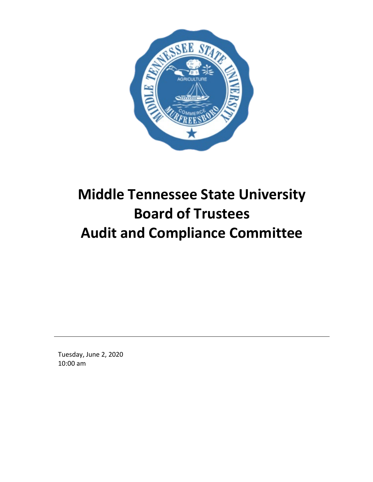

# **Middle Tennessee State University Board of Trustees Audit and Compliance Committee**

Tuesday, June 2, 2020 10:00 am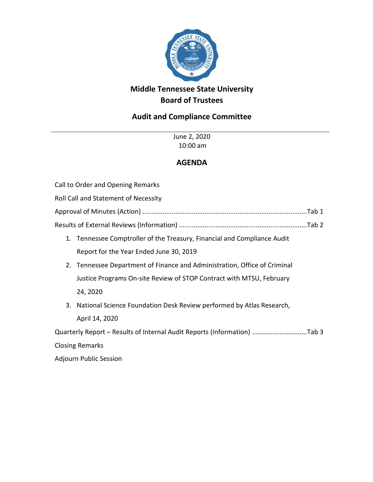

## **Audit and Compliance Committee**

June 2, 2020 10:00 am

## **AGENDA**

Call to Order and Opening Remarks

Roll Call and Statement of Necessity

Approval of Minutes (Action) ..........................................................................................Tab 1

Results of External Reviews (Information) ......................................................................Tab 2

- 1. Tennessee Comptroller of the Treasury, Financial and Compliance Audit Report for the Year Ended June 30, 2019
- 2. Tennessee Department of Finance and Administration, Office of Criminal Justice Programs On-site Review of STOP Contract with MTSU, February 24, 2020
- 3. National Science Foundation Desk Review performed by Atlas Research, April 14, 2020

Quarterly Report – Results of Internal Audit Reports (Information) ..............................Tab 3 Closing Remarks

Adjourn Public Session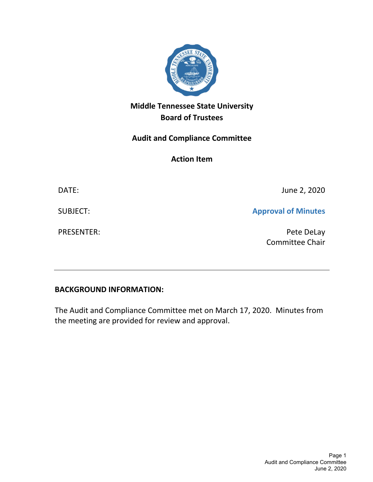

## **Audit and Compliance Committee**

# **Action Item**

DATE: June 2, 2020

SUBJECT: **Approval of Minutes**

PRESENTER: PRESENTER: Committee Chair

## **BACKGROUND INFORMATION:**

The Audit and Compliance Committee met on March 17, 2020. Minutes from the meeting are provided for review and approval.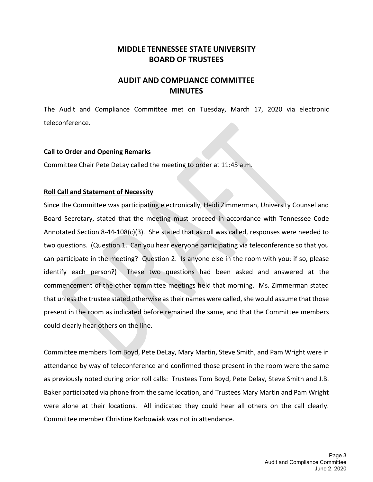## **MIDDLE TENNESSEE STATE UNIVERSITY BOARD OF TRUSTEES**

## **AUDIT AND COMPLIANCE COMMITTEE MINUTES**

The Audit and Compliance Committee met on Tuesday, March 17, 2020 via electronic teleconference.

#### **Call to Order and Opening Remarks**

Committee Chair Pete DeLay called the meeting to order at 11:45 a.m.

#### **Roll Call and Statement of Necessity**

Since the Committee was participating electronically, Heidi Zimmerman, University Counsel and Board Secretary, stated that the meeting must proceed in accordance with Tennessee Code Annotated Section 8-44-108(c)(3). She stated that as roll was called, responses were needed to two questions. (Question 1. Can you hear everyone participating via teleconference so that you can participate in the meeting? Question 2. Is anyone else in the room with you: if so, please identify each person?) These two questions had been asked and answered at the commencement of the other committee meetings held that morning. Ms. Zimmerman stated that unless the trustee stated otherwise as their names were called, she would assume that those present in the room as indicated before remained the same, and that the Committee members could clearly hear others on the line.

Committee members Tom Boyd, Pete DeLay, Mary Martin, Steve Smith, and Pam Wright were in attendance by way of teleconference and confirmed those present in the room were the same as previously noted during prior roll calls: Trustees Tom Boyd, Pete Delay, Steve Smith and J.B. Baker participated via phone from the same location, and Trustees Mary Martin and Pam Wright were alone at their locations. All indicated they could hear all others on the call clearly. Committee member Christine Karbowiak was not in attendance.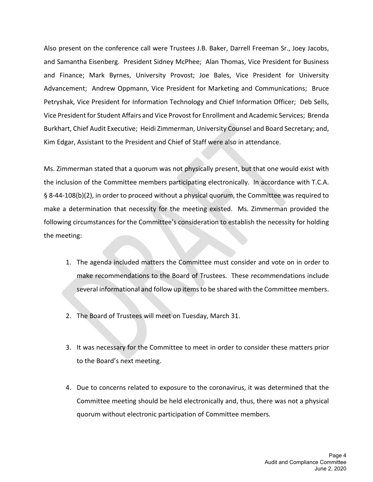Also present on the conference call were Trustees J.B. Baker, Darrell Freeman Sr., Joey Jacobs, and Samantha Eisenberg. President Sidney McPhee; Alan Thomas, Vice President for Business and Finance; Mark Byrnes, University Provost; Joe Bales, Vice President for University Advancement; Andrew Oppmann, Vice President for Marketing and Communications; Bruce Petryshak, Vice President for Information Technology and Chief Information Officer; Deb Sells, Vice President for Student Affairs and Vice Provost for Enrollment and Academic Services; Brenda Burkhart, Chief Audit Executive; Heidi Zimmerman, University Counsel and Board Secretary; and, Kim Edgar, Assistant to the President and Chief of Staff were also in attendance.

Ms. Zimmerman stated that a quorum was not physically present, but that one would exist with the inclusion of the Committee members participating electronically. In accordance with T.C.A. § 8-44-108(b)(2), in order to proceed without a physical quorum, the Committee was required to make a determination that necessity for the meeting existed. Ms. Zimmerman provided the following circumstances for the Committee's consideration to establish the necessity for holding the meeting:

- 1. The agenda included matters the Committee must consider and vote on in order to make recommendations to the Board of Trustees. These recommendations include several informational and follow up items to be shared with the Committee members.
- 2. The Board of Trustees will meet on Tuesday, March 31.
- 3. It was necessary for the Committee to meet in order to consider these matters prior to the Board's next meeting.
- 4. Due to concerns related to exposure to the coronavirus, it was determined that the Committee meeting should be held electronically and, thus, there was not a physical quorum without electronic participation of Committee members.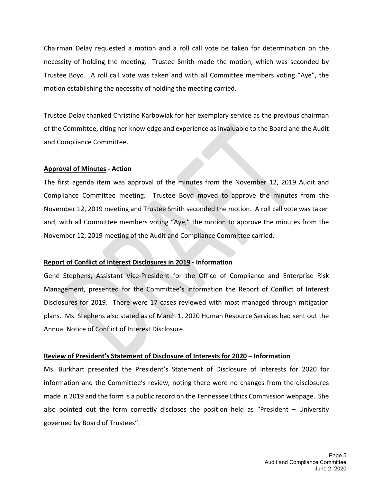Chairman Delay requested a motion and a roll call vote be taken for determination on the necessity of holding the meeting. Trustee Smith made the motion, which was seconded by Trustee Boyd. A roll call vote was taken and with all Committee members voting "Aye", the motion establishing the necessity of holding the meeting carried.

Trustee Delay thanked Christine Karbowiak for her exemplary service as the previous chairman of the Committee, citing her knowledge and experience as invaluable to the Board and the Audit and Compliance Committee.

#### **Approval of Minutes - Action**

The first agenda item was approval of the minutes from the November 12, 2019 Audit and Compliance Committee meeting. Trustee Boyd moved to approve the minutes from the November 12, 2019 meeting and Trustee Smith seconded the motion. A roll call vote was taken and, with all Committee members voting "Aye," the motion to approve the minutes from the November 12, 2019 meeting of the Audit and Compliance Committee carried.

#### **Report of Conflict of Interest Disclosures in 2019 - Information**

Gené Stephens, Assistant Vice-President for the Office of Compliance and Enterprise Risk Management, presented for the Committee's information the Report of Conflict of Interest Disclosures for 2019. There were 17 cases reviewed with most managed through mitigation plans. Ms. Stephens also stated as of March 1, 2020 Human Resource Services had sent out the Annual Notice of Conflict of Interest Disclosure.

#### **Review of President's Statement of Disclosure of Interests for 2020 – Information**

Ms. Burkhart presented the President's Statement of Disclosure of Interests for 2020 for information and the Committee's review, noting there were no changes from the disclosures made in 2019 and the form is a public record on the Tennessee Ethics Commission webpage. She also pointed out the form correctly discloses the position held as "President – University governed by Board of Trustees".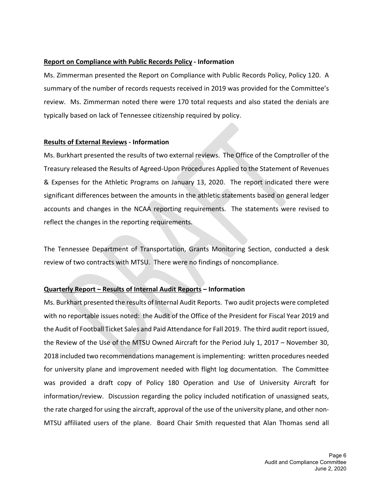#### **Report on Compliance with Public Records Policy - Information**

Ms. Zimmerman presented the Report on Compliance with Public Records Policy, Policy 120. A summary of the number of records requests received in 2019 was provided for the Committee's review. Ms. Zimmerman noted there were 170 total requests and also stated the denials are typically based on lack of Tennessee citizenship required by policy.

#### **Results of External Reviews - Information**

Ms. Burkhart presented the results of two external reviews. The Office of the Comptroller of the Treasury released the Results of Agreed-Upon Procedures Applied to the Statement of Revenues & Expenses for the Athletic Programs on January 13, 2020. The report indicated there were significant differences between the amounts in the athletic statements based on general ledger accounts and changes in the NCAA reporting requirements. The statements were revised to reflect the changes in the reporting requirements.

The Tennessee Department of Transportation, Grants Monitoring Section, conducted a desk review of two contracts with MTSU. There were no findings of noncompliance.

### **Quarterly Report – Results of Internal Audit Reports – Information**

Ms. Burkhart presented the results of Internal Audit Reports. Two audit projects were completed with no reportable issues noted: the Audit of the Office of the President for Fiscal Year 2019 and the Audit of Football Ticket Sales and Paid Attendance for Fall 2019. The third audit report issued, the Review of the Use of the MTSU Owned Aircraft for the Period July 1, 2017 – November 30, 2018 included two recommendations management is implementing: written procedures needed for university plane and improvement needed with flight log documentation. The Committee was provided a draft copy of Policy 180 Operation and Use of University Aircraft for information/review. Discussion regarding the policy included notification of unassigned seats, the rate charged for using the aircraft, approval of the use of the university plane, and other non-MTSU affiliated users of the plane. Board Chair Smith requested that Alan Thomas send all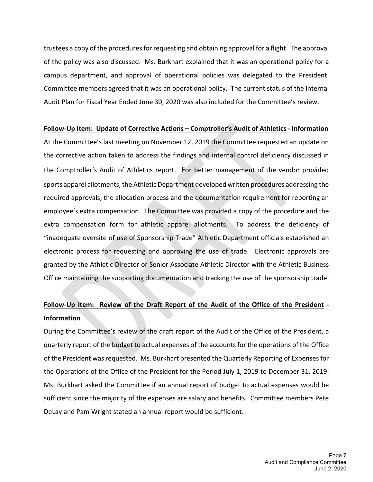trustees a copy of the procedures for requesting and obtaining approval for a flight. The approval of the policy was also discussed. Ms. Burkhart explained that it was an operational policy for a campus department, and approval of operational policies was delegated to the President. Committee members agreed that it was an operational policy. The current status of the Internal Audit Plan for Fiscal Year Ended June 30, 2020 was also included for the Committee's review.

#### **Follow-Up Item: Update of Corrective Actions – Comptroller's Audit of Athletics - Information**

At the Committee's last meeting on November 12, 2019 the Committee requested an update on the corrective action taken to address the findings and internal control deficiency discussed in the Comptroller's Audit of Athletics report. For better management of the vendor provided sports apparel allotments, the Athletic Department developed written procedures addressing the required approvals, the allocation process and the documentation requirement for reporting an employee's extra compensation. The Committee was provided a copy of the procedure and the extra compensation form for athletic apparel allotments. To address the deficiency of "inadequate oversite of use of Sponsorship Trade" Athletic Department officials established an electronic process for requesting and approving the use of trade. Electronic approvals are granted by the Athletic Director or Senior Associate Athletic Director with the Athletic Business Office maintaining the supporting documentation and tracking the use of the sponsorship trade.

# **Follow-Up Item: Review of the Draft Report of the Audit of the Office of the President - Information**

During the Committee's review of the draft report of the Audit of the Office of the President, a quarterly report of the budget to actual expenses of the accounts for the operations of the Office of the President was requested. Ms. Burkhart presented the Quarterly Reporting of Expenses for the Operations of the Office of the President for the Period July 1, 2019 to December 31, 2019. Ms. Burkhart asked the Committee if an annual report of budget to actual expenses would be sufficient since the majority of the expenses are salary and benefits. Committee members Pete DeLay and Pam Wright stated an annual report would be sufficient.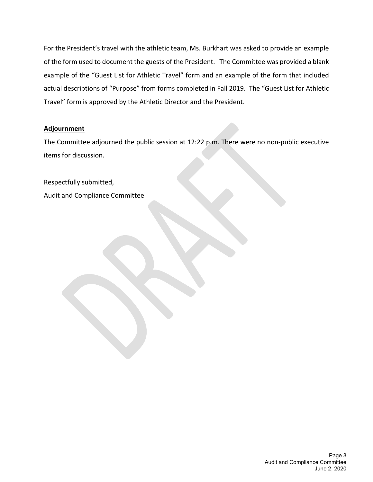For the President's travel with the athletic team, Ms. Burkhart was asked to provide an example of the form used to document the guests of the President. The Committee was provided a blank example of the "Guest List for Athletic Travel" form and an example of the form that included actual descriptions of "Purpose" from forms completed in Fall 2019. The "Guest List for Athletic Travel" form is approved by the Athletic Director and the President.

### **Adjournment**

The Committee adjourned the public session at 12:22 p.m. There were no non-public executive items for discussion.

Respectfully submitted, Audit and Compliance Committee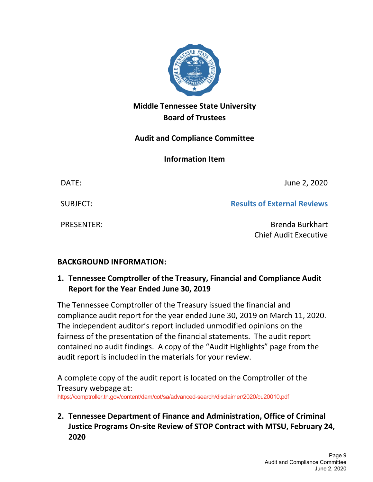

# **Audit and Compliance Committee**

# **Information Item**

| DATE:      | June 2, 2020                                           |
|------------|--------------------------------------------------------|
| SUBJECT:   | <b>Results of External Reviews</b>                     |
| PRESENTER: | <b>Brenda Burkhart</b><br><b>Chief Audit Executive</b> |

## **BACKGROUND INFORMATION:**

# **1. Tennessee Comptroller of the Treasury, Financial and Compliance Audit Report for the Year Ended June 30, 2019**

The Tennessee Comptroller of the Treasury issued the financial and compliance audit report for the year ended June 30, 2019 on March 11, 2020. The independent auditor's report included unmodified opinions on the fairness of the presentation of the financial statements. The audit report contained no audit findings. A copy of the "Audit Highlights" page from the audit report is included in the materials for your review.

A complete copy of the audit report is located on the Comptroller of the Treasury webpage at: <https://comptroller.tn.gov/content/dam/cot/sa/advanced-search/disclaimer/2020/cu20010.pdf>

**2. Tennessee Department of Finance and Administration, Office of Criminal Justice Programs On-site Review of STOP Contract with MTSU, February 24, 2020**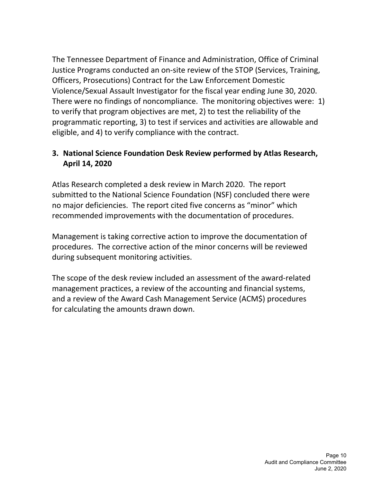The Tennessee Department of Finance and Administration, Office of Criminal Justice Programs conducted an on-site review of the STOP (Services, Training, Officers, Prosecutions) Contract for the Law Enforcement Domestic Violence/Sexual Assault Investigator for the fiscal year ending June 30, 2020. There were no findings of noncompliance. The monitoring objectives were: 1) to verify that program objectives are met, 2) to test the reliability of the programmatic reporting, 3) to test if services and activities are allowable and eligible, and 4) to verify compliance with the contract.

## **3. National Science Foundation Desk Review performed by Atlas Research, April 14, 2020**

Atlas Research completed a desk review in March 2020. The report submitted to the National Science Foundation (NSF) concluded there were no major deficiencies. The report cited five concerns as "minor" which recommended improvements with the documentation of procedures.

Management is taking corrective action to improve the documentation of procedures. The corrective action of the minor concerns will be reviewed during subsequent monitoring activities.

The scope of the desk review included an assessment of the award-related management practices, a review of the accounting and financial systems, and a review of the Award Cash Management Service (ACM\$) procedures for calculating the amounts drawn down.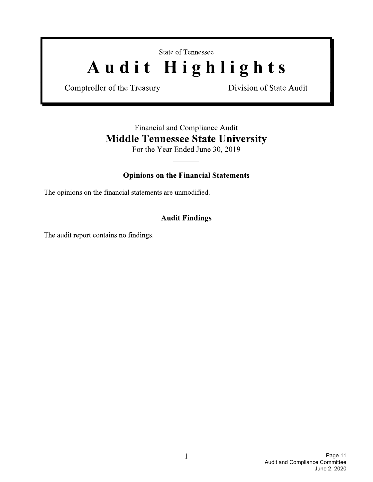## **State of Tennessee**

# Audit Highlights

Comptroller of the Treasury

Division of State Audit

# Financial and Compliance Audit **Middle Tennessee State University**

For the Year Ended June 30, 2019

## **Opinions on the Financial Statements**

The opinions on the financial statements are unmodified.

## **Audit Findings**

The audit report contains no findings.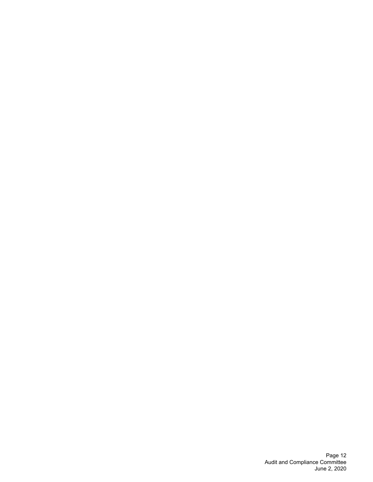Page 12 Audit and Compliance Committee June 2, 2020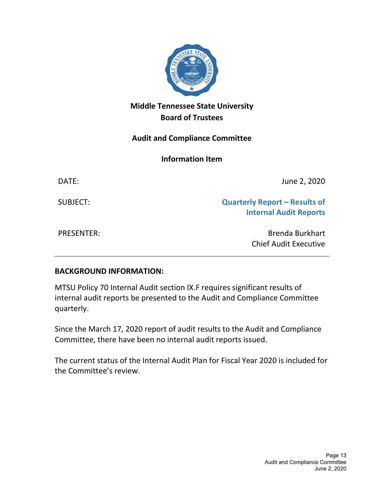

## **Audit and Compliance Committee**

## **Information Item**

| DATE:             | June 2, 2020                                                          |
|-------------------|-----------------------------------------------------------------------|
| SUBJECT:          | <b>Quarterly Report – Results of</b><br><b>Internal Audit Reports</b> |
| <b>PRESENTER:</b> | <b>Brenda Burkhart</b><br><b>Chief Audit Executive</b>                |

## **BACKGROUND INFORMATION:**

MTSU Policy 70 Internal Audit section IX.F requires significant results of internal audit reports be presented to the Audit and Compliance Committee quarterly.

Since the March 17, 2020 report of audit results to the Audit and Compliance Committee, there have been no internal audit reports issued.

The current status of the Internal Audit Plan for Fiscal Year 2020 is included for the Committee's review.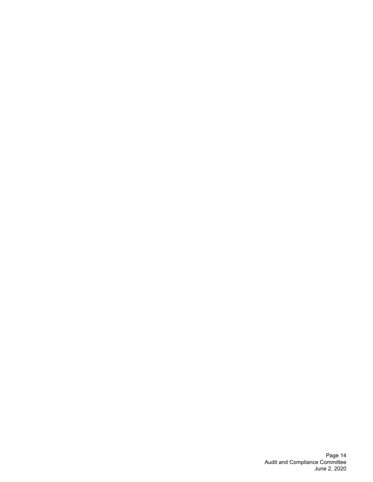Page 14 Audit and Compliance Committee June 2, 2020